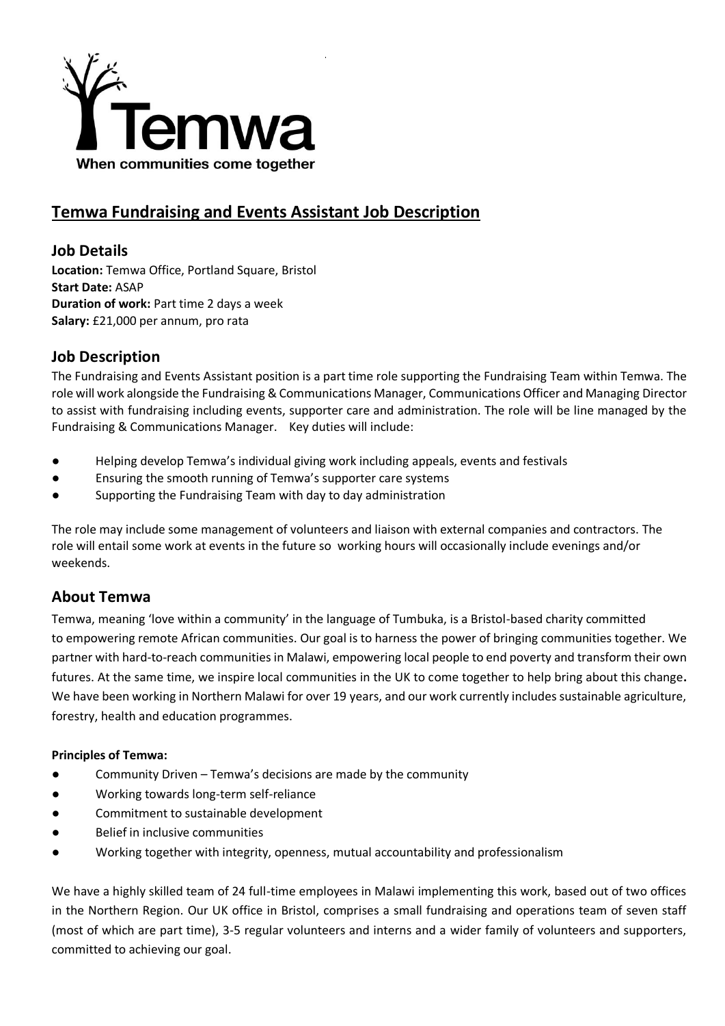

# **Temwa Fundraising and Events Assistant Job Description**

### **Job Details**

**Location:** Temwa Office, Portland Square, Bristol **Start Date:** ASAP **Duration of work: Part time 2 days a week Salary:** £21,000 per annum, pro rata

## **Job Description**

The Fundraising and Events Assistant position is a part time role supporting the Fundraising Team within Temwa. The role will work alongside the Fundraising & Communications Manager, Communications Officer and Managing Director to assist with fundraising including events, supporter care and administration. The role will be line managed by the Fundraising & Communications Manager. Key duties will include:

- Helping develop Temwa's individual giving work including appeals, events and festivals
- Ensuring the smooth running of Temwa's supporter care systems
- Supporting the Fundraising Team with day to day administration

The role may include some management of volunteers and liaison with external companies and contractors. The role will entail some work at events in the future so working hours will occasionally include evenings and/or weekends.

### **About Temwa**

Temwa, meaning 'love within a community' in the language of Tumbuka, is a Bristol-based charity committed to empowering remote African communities. Our goal is to harness the power of bringing communities together. We partner with hard-to-reach communities in Malawi, empowering local people to end poverty and transform their own futures. At the same time, we inspire local communities in the UK to come together to help bring about this change**.**  We have been working in Northern Malawi for over 19 years, and our work currently includes sustainable agriculture, forestry, health and education programmes.

#### **Principles of Temwa:**

- Community Driven Temwa's decisions are made by the community
- Working towards long-term self-reliance
- Commitment to sustainable development
- Belief in inclusive communities
- Working together with integrity, openness, mutual accountability and professionalism

We have a highly skilled team of 24 full-time employees in Malawi implementing this work, based out of two offices in the Northern Region. Our UK office in Bristol, comprises a small fundraising and operations team of seven staff (most of which are part time), 3-5 regular volunteers and interns and a wider family of volunteers and supporters, committed to achieving our goal.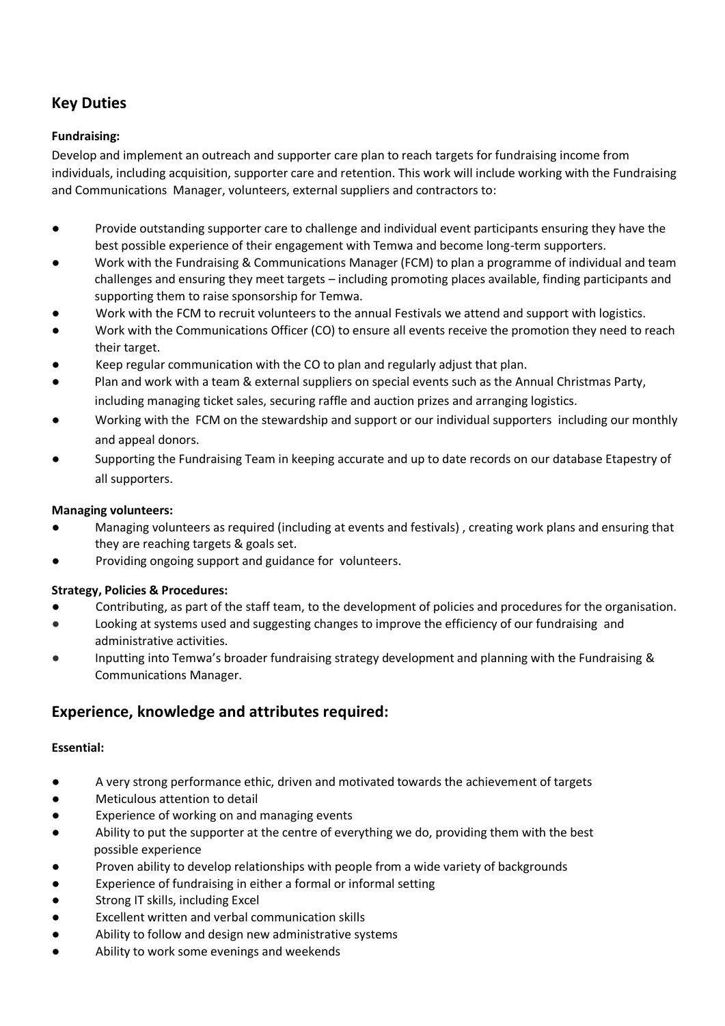## **Key Duties**

#### **Fundraising:**

Develop and implement an outreach and supporter care plan to reach targets for fundraising income from individuals, including acquisition, supporter care and retention. This work will include working with the Fundraising and Communications Manager, volunteers, external suppliers and contractors to:

- Provide outstanding supporter care to challenge and individual event participants ensuring they have the best possible experience of their engagement with Temwa and become long-term supporters.
- Work with the Fundraising & Communications Manager (FCM) to plan a programme of individual and team challenges and ensuring they meet targets – including promoting places available, finding participants and supporting them to raise sponsorship for Temwa.
- Work with the FCM to recruit volunteers to the annual Festivals we attend and support with logistics.
- Work with the Communications Officer (CO) to ensure all events receive the promotion they need to reach their target.
- Keep regular communication with the CO to plan and regularly adjust that plan.
- Plan and work with a team & external suppliers on special events such as the Annual Christmas Party, including managing ticket sales, securing raffle and auction prizes and arranging logistics.
- Working with the FCM on the stewardship and support or our individual supporters including our monthly and appeal donors.
- Supporting the Fundraising Team in keeping accurate and up to date records on our database Etapestry of all supporters.

#### **Managing volunteers:**

- Managing volunteers as required (including at events and festivals), creating work plans and ensuring that they are reaching targets & goals set.
- Providing ongoing support and guidance for volunteers.

#### **Strategy, Policies & Procedures:**

- Contributing, as part of the staff team, to the development of policies and procedures for the organisation.
- Looking at systems used and suggesting changes to improve the efficiency of our fundraising and administrative activities.
- Inputting into Temwa's broader fundraising strategy development and planning with the Fundraising & Communications Manager.

## **Experience, knowledge and attributes required:**

#### **Essential:**

- A very strong performance ethic, driven and motivated towards the achievement of targets
- Meticulous attention to detail
- Experience of working on and managing events
- Ability to put the supporter at the centre of everything we do, providing them with the best possible experience
- Proven ability to develop relationships with people from a wide variety of backgrounds
- Experience of fundraising in either a formal or informal setting
- Strong IT skills, including Excel
- Excellent written and verbal communication skills
- Ability to follow and design new administrative systems
- Ability to work some evenings and weekends